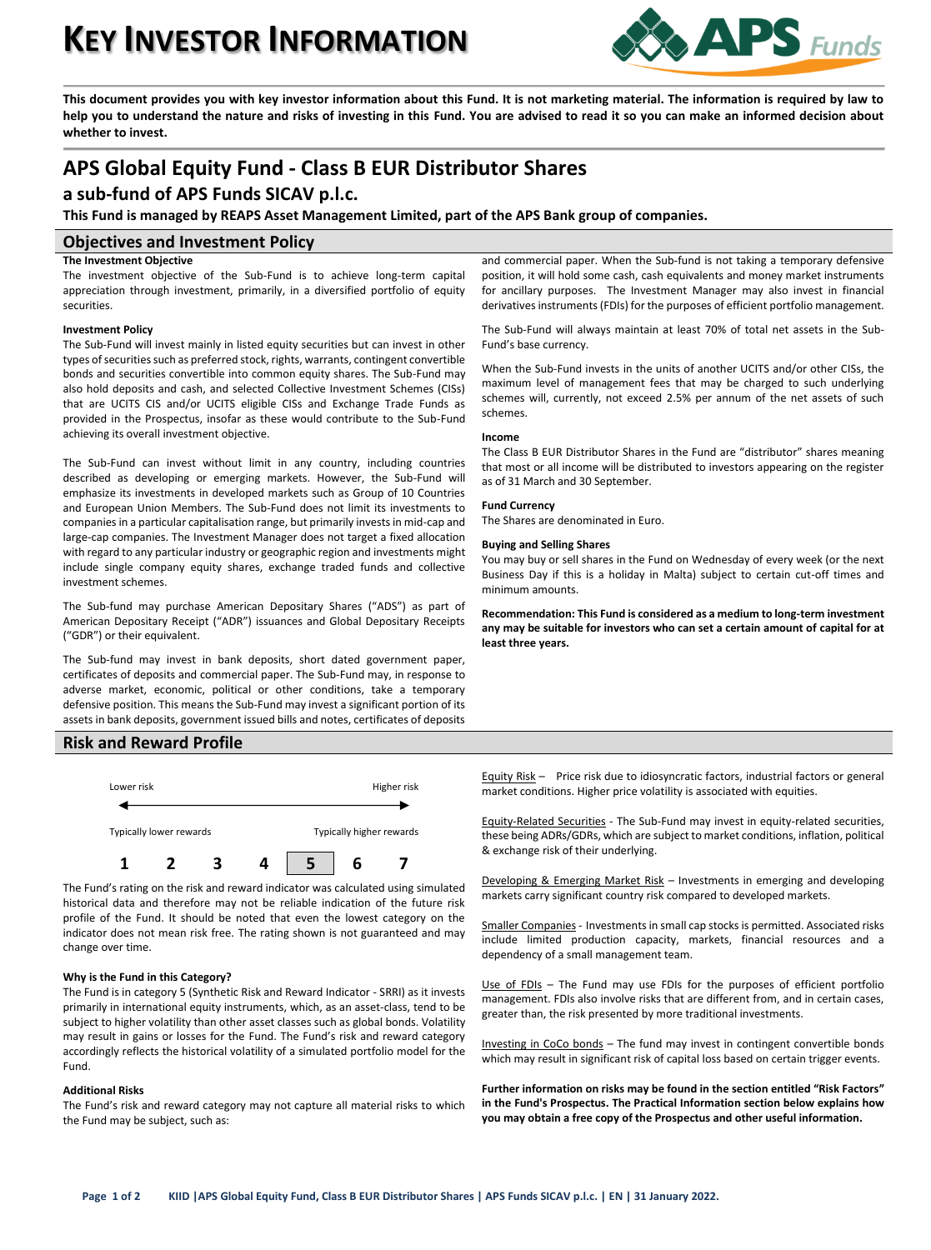# **KEY INVESTOR INFORMATION**



**This document provides you with key investor information about this Fund. It is not marketing material. The information is required by law to help you to understand the nature and risks of investing in this Fund. You are advised to read it so you can make an informed decision about whether to invest.**

## **APS Global Equity Fund - Class B EUR Distributor Shares**

## **a sub-fund of APS Funds SICAV p.l.c.**

**This Fund is managed by REAPS Asset Management Limited, part of the APS Bank group of companies.**

#### **Objectives and Investment Policy**

#### **The Investment Objective**

The investment objective of the Sub-Fund is to achieve long-term capital appreciation through investment, primarily, in a diversified portfolio of equity securities.

#### **Investment Policy**

The Sub-Fund will invest mainly in listed equity securities but can invest in other types of securities such as preferred stock, rights, warrants, contingent convertible bonds and securities convertible into common equity shares. The Sub-Fund may also hold deposits and cash, and selected Collective Investment Schemes (CISs) that are UCITS CIS and/or UCITS eligible CISs and Exchange Trade Funds as provided in the Prospectus, insofar as these would contribute to the Sub-Fund achieving its overall investment objective.

The Sub-Fund can invest without limit in any country, including countries described as developing or emerging markets. However, the Sub-Fund will emphasize its investments in developed markets such as Group of 10 Countries and European Union Members. The Sub-Fund does not limit its investments to companies in a particular capitalisation range, but primarily invests in mid-cap and large-cap companies. The Investment Manager does not target a fixed allocation with regard to any particular industry or geographic region and investments might include single company equity shares, exchange traded funds and collective investment schemes.

The Sub-fund may purchase American Depositary Shares ("ADS") as part of American Depositary Receipt ("ADR") issuances and Global Depositary Receipts ("GDR") or their equivalent.

The Sub-fund may invest in bank deposits, short dated government paper, certificates of deposits and commercial paper. The Sub-Fund may, in response to adverse market, economic, political or other conditions, take a temporary defensive position. This means the Sub-Fund may invest a significant portion of its assets in bank deposits, government issued bills and notes, certificates of deposits

#### **Risk and Reward Profile**



The Fund's rating on the risk and reward indicator was calculated using simulated historical data and therefore may not be reliable indication of the future risk profile of the Fund. It should be noted that even the lowest category on the indicator does not mean risk free. The rating shown is not guaranteed and may change over time.

#### **Why is the Fund in this Category?**

The Fund is in category 5 (Synthetic Risk and Reward Indicator - SRRI) as it invests primarily in international equity instruments, which, as an asset-class, tend to be subject to higher volatility than other asset classes such as global bonds. Volatility may result in gains or losses for the Fund. The Fund's risk and reward category accordingly reflects the historical volatility of a simulated portfolio model for the Fund.

#### **Additional Risks**

The Fund's risk and reward category may not capture all material risks to which the Fund may be subject, such as:

and commercial paper. When the Sub-fund is not taking a temporary defensive position, it will hold some cash, cash equivalents and money market instruments for ancillary purposes. The Investment Manager may also invest in financial derivatives instruments (FDIs) for the purposes of efficient portfolio management.

The Sub-Fund will always maintain at least 70% of total net assets in the Sub-Fund's base currency.

When the Sub-Fund invests in the units of another UCITS and/or other CISs, the maximum level of management fees that may be charged to such underlying schemes will, currently, not exceed 2.5% per annum of the net assets of such schemes.

#### **Income**

The Class B EUR Distributor Shares in the Fund are "distributor" shares meaning that most or all income will be distributed to investors appearing on the register as of 31 March and 30 September.

#### **Fund Currency**

The Shares are denominated in Euro.

#### **Buying and Selling Shares**

You may buy or sell shares in the Fund on Wednesday of every week (or the next Business Day if this is a holiday in Malta) subject to certain cut-off times and minimum amounts.

**Recommendation: This Fund is considered as a medium to long-term investment any may be suitable for investors who can set a certain amount of capital for at least three years.**

Equity Risk – Price risk due to idiosyncratic factors, industrial factors or general market conditions. Higher price volatility is associated with equities.

Equity-Related Securities - The Sub-Fund may invest in equity-related securities, these being ADRs/GDRs, which are subject to market conditions, inflation, political & exchange risk of their underlying.

Developing & Emerging Market Risk – Investments in emerging and developing markets carry significant country risk compared to developed markets.

Smaller Companies - Investments in small cap stocks is permitted. Associated risks include limited production capacity, markets, financial resources and a dependency of a small management team.

Use of FDIs - The Fund may use FDIs for the purposes of efficient portfolio management. FDIs also involve risks that are different from, and in certain cases, greater than, the risk presented by more traditional investments.

Investing in CoCo bonds – The fund may invest in contingent convertible bonds which may result in significant risk of capital loss based on certain trigger events.

**Further information on risks may be found in the section entitled "Risk Factors" in the Fund's Prospectus. The Practical Information section below explains how you may obtain a free copy of the Prospectus and other useful information.**